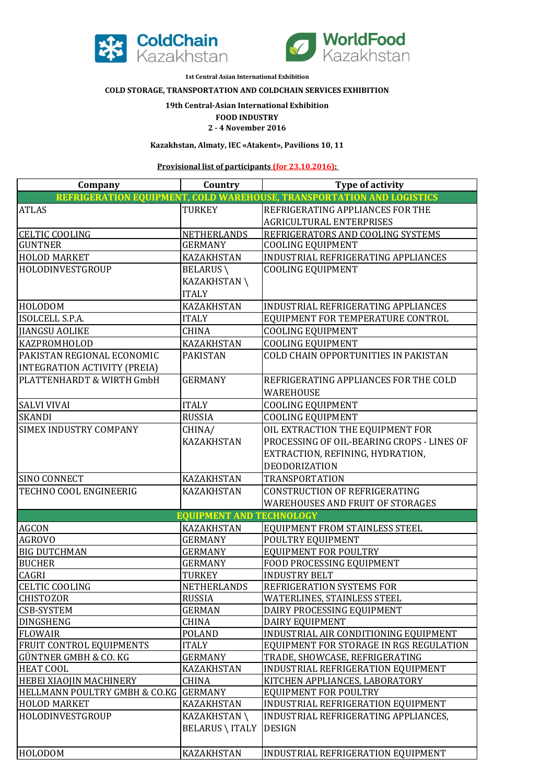



**1st Central Asian International Exhibition** 

## **COLD STORAGE, TRANSPORTATION AND COLDCHAIN SERVICES EXHIBITION**

## **19th Central-Asian International Exhibition**

## **FOOD INDUSTRY**

**2 - 4 November 2016**

**Kazakhstan, Almaty, IEC «Atakent», Pavilions 10, 11** 

**Provisional list of participants (for 23.10.2016):** 

| Company                         | Country                         | <b>Type of activity</b>                                               |
|---------------------------------|---------------------------------|-----------------------------------------------------------------------|
|                                 |                                 | REFRIGERATION EQUIPMENT, COLD WAREHOUSE, TRANSPORTATION AND LOGISTICS |
| <b>ATLAS</b>                    | TURKEY                          | REFRIGERATING APPLIANCES FOR THE                                      |
|                                 |                                 | AGRICULTURAL ENTERPRISES                                              |
| <b>CELTIC COOLING</b>           | <b>NETHERLANDS</b>              | REFRIGERATORS AND COOLING SYSTEMS                                     |
| <b>GUNTNER</b>                  | <b>GERMANY</b>                  | <b>COOLING EQUIPMENT</b>                                              |
| <b>HOLOD MARKET</b>             | <b>KAZAKHSTAN</b>               | INDUSTRIAL REFRIGERATING APPLIANCES                                   |
| HOLODINVESTGROUP                | <b>BELARUS</b>                  | <b>COOLING EQUIPMENT</b>                                              |
|                                 | KAZAKHSTAN\                     |                                                                       |
|                                 | <b>ITALY</b>                    |                                                                       |
| HOLODOM                         | <b>KAZAKHSTAN</b>               | INDUSTRIAL REFRIGERATING APPLIANCES                                   |
| <b>ISOLCELL S.P.A.</b>          | <b>ITALY</b>                    | EQUIPMENT FOR TEMPERATURE CONTROL                                     |
| <b>JIANGSU AOLIKE</b>           | <b>CHINA</b>                    | <b>COOLING EQUIPMENT</b>                                              |
| KAZPROMHOLOD                    | <b>KAZAKHSTAN</b>               | <b>COOLING EQUIPMENT</b>                                              |
| PAKISTAN REGIONAL ECONOMIC      | <b>PAKISTAN</b>                 | COLD CHAIN OPPORTUNITIES IN PAKISTAN                                  |
| INTEGRATION ACTIVITY (PREIA)    |                                 |                                                                       |
| PLATTENHARDT & WIRTH GmbH       | <b>GERMANY</b>                  | REFRIGERATING APPLIANCES FOR THE COLD                                 |
|                                 |                                 | <b>WAREHOUSE</b>                                                      |
| <b>SALVI VIVAI</b>              | <b>ITALY</b>                    | <b>COOLING EQUIPMENT</b>                                              |
| <b>SKANDI</b>                   | <b>RUSSIA</b>                   | <b>COOLING EQUIPMENT</b>                                              |
| <b>SIMEX INDUSTRY COMPANY</b>   | CHINA/                          | OIL EXTRACTION THE EQUIPMENT FOR                                      |
|                                 | <b>KAZAKHSTAN</b>               | PROCESSING OF OIL-BEARING CROPS - LINES OF                            |
|                                 |                                 | EXTRACTION, REFINING, HYDRATION,                                      |
|                                 |                                 | <b>DEODORIZATION</b>                                                  |
| <b>SINO CONNECT</b>             | <b>KAZAKHSTAN</b>               | <b>TRANSPORTATION</b>                                                 |
| TECHNO COOL ENGINEERIG          | <b>KAZAKHSTAN</b>               | <b>CONSTRUCTION OF REFRIGERATING</b>                                  |
|                                 |                                 | <b>WAREHOUSES AND FRUIT OF STORAGES</b>                               |
|                                 | <b>EQUIPMENT AND TECHNOLOGY</b> |                                                                       |
| <b>AGCON</b>                    | <b>KAZAKHSTAN</b>               | EQUIPMENT FROM STAINLESS STEEL                                        |
| <b>AGROVO</b>                   | <b>GERMANY</b>                  | POULTRY EQUIPMENT                                                     |
| <b>BIG DUTCHMAN</b>             | <b>GERMANY</b>                  | <b>EQUIPMENT FOR POULTRY</b>                                          |
| <b>BUCHER</b>                   | <b>GERMANY</b>                  | FOOD PROCESSING EQUIPMENT                                             |
| <b>CAGRI</b>                    | <b>TURKEY</b>                   | <b>INDUSTRY BELT</b>                                                  |
| <b>CELTIC COOLING</b>           | NETHERLANDS                     | <b>REFRIGERATION SYSTEMS FOR</b>                                      |
| <b>CHISTOZOR</b>                | <b>RUSSIA</b>                   | WATERLINES, STAINLESS STEEL                                           |
| <b>CSB-SYSTEM</b>               | <b>GERMAN</b>                   | DAIRY PROCESSING EQUIPMENT                                            |
| <b>DINGSHENG</b>                | <b>CHINA</b>                    | DAIRY EQUIPMENT                                                       |
| <b>FLOWAIR</b>                  | <b>POLAND</b>                   | INDUSTRIAL AIR CONDITIONING EQUIPMENT                                 |
| <b>FRUIT CONTROL EQUIPMENTS</b> | <b>ITALY</b>                    | EQUIPMENT FOR STORAGE IN RGS REGULATION                               |
| GÜNTNER GMBH & CO. KG           | <b>GERMANY</b>                  | TRADE, SHOWCASE, REFRIGERATING                                        |
| <b>HEAT COOL</b>                | KAZAKHSTAN                      | INDUSTRIAL REFRIGERATION EQUIPMENT                                    |
| HEBEI XIAOJIN MACHINERY         | <b>CHINA</b>                    | KITCHEN APPLIANCES, LABORATORY                                        |
| HELLMANN POULTRY GMBH & CO.KG   | <b>GERMANY</b>                  | <b>EQUIPMENT FOR POULTRY</b>                                          |
| <b>HOLOD MARKET</b>             | KAZAKHSTAN                      | INDUSTRIAL REFRIGERATION EQUIPMENT                                    |
| HOLODINVESTGROUP                | <b>KAZAKHSTAN</b>               | INDUSTRIAL REFRIGERATING APPLIANCES,                                  |
|                                 | <b>BELARUS \ ITALY</b>          | <b>DESIGN</b>                                                         |
|                                 |                                 |                                                                       |
| <b>HOLODOM</b>                  | KAZAKHSTAN                      | INDUSTRIAL REFRIGERATION EQUIPMENT                                    |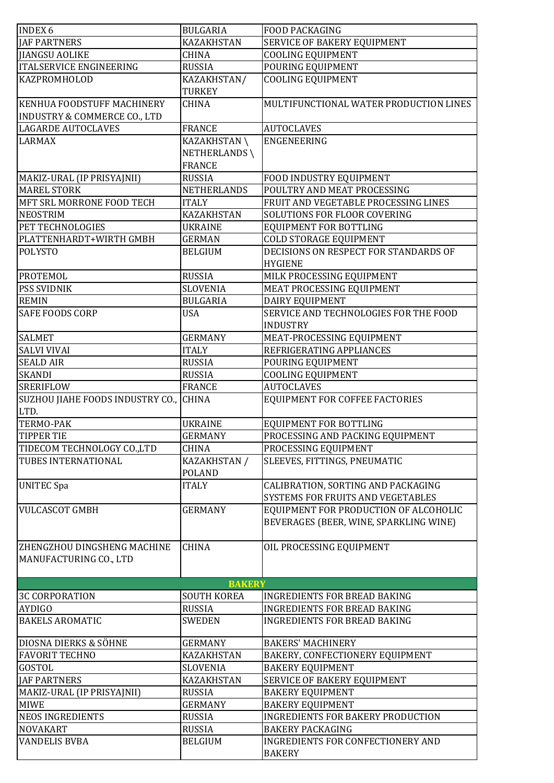| <b>INDEX 6</b>                          | <b>BULGARIA</b>    | <b>FOOD PACKAGING</b>                    |
|-----------------------------------------|--------------------|------------------------------------------|
| <b>JAF PARTNERS</b>                     | <b>KAZAKHSTAN</b>  | SERVICE OF BAKERY EQUIPMENT              |
| <b>JIANGSU AOLIKE</b>                   | <b>CHINA</b>       | <b>COOLING EQUIPMENT</b>                 |
| <b>ITALSERVICE ENGINEERING</b>          | <b>RUSSIA</b>      | POURING EQUIPMENT                        |
| KAZPROMHOLOD                            | KAZAKHSTAN/        | <b>COOLING EQUIPMENT</b>                 |
|                                         | <b>TURKEY</b>      |                                          |
|                                         |                    |                                          |
| <b>KENHUA FOODSTUFF MACHINERY</b>       | <b>CHINA</b>       | MULTIFUNCTIONAL WATER PRODUCTION LINES   |
| <b>INDUSTRY &amp; COMMERCE CO., LTD</b> |                    |                                          |
| <b>LAGARDE AUTOCLAVES</b>               | <b>FRANCE</b>      | <b>AUTOCLAVES</b>                        |
| <b>LARMAX</b>                           | KAZAKHSTAN\        | <b>ENGENEERING</b>                       |
|                                         | NETHERLANDS\       |                                          |
|                                         | <b>FRANCE</b>      |                                          |
| MAKIZ-URAL (IP PRISYAJNII)              | <b>RUSSIA</b>      | FOOD INDUSTRY EQUIPMENT                  |
| <b>MAREL STORK</b>                      | <b>NETHERLANDS</b> | POULTRY AND MEAT PROCESSING              |
| MFT SRL MORRONE FOOD TECH               | <b>ITALY</b>       | FRUIT AND VEGETABLE PROCESSING LINES     |
| <b>NEOSTRIM</b>                         | <b>KAZAKHSTAN</b>  | SOLUTIONS FOR FLOOR COVERING             |
| PET TECHNOLOGIES                        | <b>UKRAINE</b>     | EQUIPMENT FOR BOTTLING                   |
| PLATTENHARDT+WIRTH GMBH                 | <b>GERMAN</b>      | <b>COLD STORAGE EQUIPMENT</b>            |
| <b>POLYSTO</b>                          | <b>BELGIUM</b>     | DECISIONS ON RESPECT FOR STANDARDS OF    |
|                                         |                    | <b>HYGIENE</b>                           |
| PROTEMOL                                | <b>RUSSIA</b>      | MILK PROCESSING EQUIPMENT                |
| <b>PSS SVIDNIK</b>                      | <b>SLOVENIA</b>    | MEAT PROCESSING EQUIPMENT                |
| <b>REMIN</b>                            | <b>BULGARIA</b>    | DAIRY EQUIPMENT                          |
| <b>SAFE FOODS CORP</b>                  | <b>USA</b>         | SERVICE AND TECHNOLOGIES FOR THE FOOD    |
|                                         |                    | <b>INDUSTRY</b>                          |
| <b>SALMET</b>                           | <b>GERMANY</b>     | MEAT-PROCESSING EQUIPMENT                |
| <b>SALVI VIVAI</b>                      | <b>ITALY</b>       | REFRIGERATING APPLIANCES                 |
| <b>SEALD AIR</b>                        | <b>RUSSIA</b>      | POURING EQUIPMENT                        |
| <b>SKANDI</b>                           | <b>RUSSIA</b>      | <b>COOLING EQUIPMENT</b>                 |
| <b>SRERIFLOW</b>                        | <b>FRANCE</b>      | <b>AUTOCLAVES</b>                        |
| SUZHOU JIAHE FOODS INDUSTRY CO.,        | <b>CHINA</b>       | EQUIPMENT FOR COFFEE FACTORIES           |
| LTD.                                    |                    |                                          |
| <b>TERMO-PAK</b>                        | <b>UKRAINE</b>     | EQUIPMENT FOR BOTTLING                   |
| <b>TIPPER TIE</b>                       | <b>GERMANY</b>     | PROCESSING AND PACKING EQUIPMENT         |
| TIDECOM TECHNOLOGY CO.,LTD              | <b>CHINA</b>       | PROCESSING EQUIPMENT                     |
| TUBES INTERNATIONAL                     | KAZAKHSTAN /       | SLEEVES, FITTINGS, PNEUMATIC             |
|                                         | <b>POLAND</b>      |                                          |
| <b>UNITEC Spa</b>                       | <b>ITALY</b>       | CALIBRATION, SORTING AND PACKAGING       |
|                                         |                    | SYSTEMS FOR FRUITS AND VEGETABLES        |
|                                         | <b>GERMANY</b>     |                                          |
| <b>VULCASCOT GMBH</b>                   |                    | EQUIPMENT FOR PRODUCTION OF ALCOHOLIC    |
|                                         |                    | BEVERAGES (BEER, WINE, SPARKLING WINE)   |
|                                         |                    |                                          |
| <b>ZHENGZHOU DINGSHENG MACHINE</b>      | <b>CHINA</b>       | OIL PROCESSING EQUIPMENT                 |
| MANUFACTURING CO., LTD                  |                    |                                          |
|                                         |                    |                                          |
|                                         | <b>BAKERY</b>      |                                          |
| <b>3C CORPORATION</b>                   | <b>SOUTH KOREA</b> | <b>INGREDIENTS FOR BREAD BAKING</b>      |
| <b>AYDIGO</b>                           | <b>RUSSIA</b>      | <b>INGREDIENTS FOR BREAD BAKING</b>      |
| <b>BAKELS AROMATIC</b>                  | <b>SWEDEN</b>      | <b>INGREDIENTS FOR BREAD BAKING</b>      |
|                                         |                    |                                          |
| DIOSNA DIERKS & SÖHNE                   | <b>GERMANY</b>     | <b>BAKERS' MACHINERY</b>                 |
| <b>FAVORIT TECHNO</b>                   | <b>KAZAKHSTAN</b>  | BAKERY, CONFECTIONERY EQUIPMENT          |
| <b>GOSTOL</b>                           | <b>SLOVENIA</b>    | <b>BAKERY EQUIPMENT</b>                  |
| <b>JAF PARTNERS</b>                     | <b>KAZAKHSTAN</b>  | SERVICE OF BAKERY EQUIPMENT              |
| MAKIZ-URAL (IP PRISYAJNII)              | <b>RUSSIA</b>      | <b>BAKERY EQUIPMENT</b>                  |
| <b>MIWE</b>                             | <b>GERMANY</b>     | <b>BAKERY EQUIPMENT</b>                  |
| <b>NEOS INGREDIENTS</b>                 | <b>RUSSIA</b>      | <b>INGREDIENTS FOR BAKERY PRODUCTION</b> |
| <b>NOVAKART</b>                         | <b>RUSSIA</b>      | <b>BAKERY PACKAGING</b>                  |
| <b>VANDELIS BVBA</b>                    | <b>BELGIUM</b>     | <b>INGREDIENTS FOR CONFECTIONERY AND</b> |
|                                         |                    | <b>BAKERY</b>                            |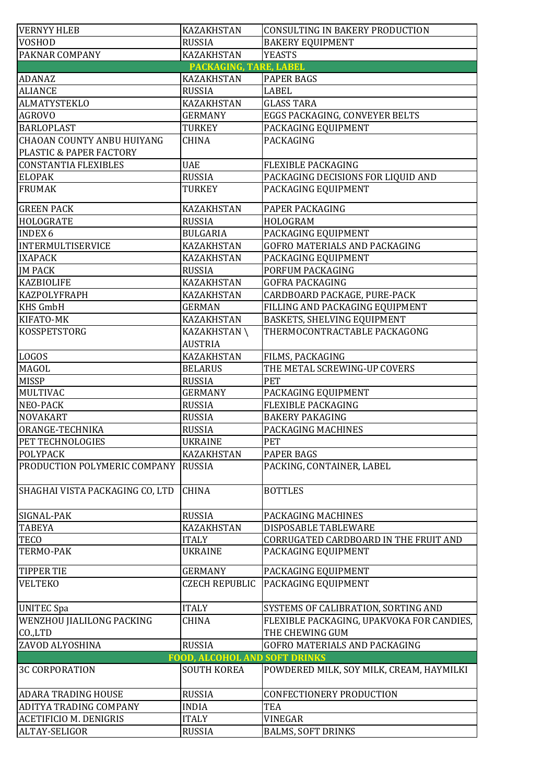| <b>VERNYY HLEB</b>                | <b>KAZAKHSTAN</b>                    | CONSULTING IN BAKERY PRODUCTION           |
|-----------------------------------|--------------------------------------|-------------------------------------------|
| <b>VOSHOD</b>                     | <b>RUSSIA</b>                        | <b>BAKERY EQUIPMENT</b>                   |
| <b>PAKNAR COMPANY</b>             | <b>KAZAKHSTAN</b>                    | <b>YEASTS</b>                             |
|                                   | PACKAGING, TARE, LABEL               |                                           |
| <b>ADANAZ</b>                     | <b>KAZAKHSTAN</b>                    | <b>PAPER BAGS</b>                         |
| <b>ALIANCE</b>                    | <b>RUSSIA</b>                        | <b>LABEL</b>                              |
| <b>ALMATYSTEKLO</b>               | <b>KAZAKHSTAN</b>                    | <b>GLASS TARA</b>                         |
| <b>AGROVO</b>                     | <b>GERMANY</b>                       | EGGS PACKAGING, CONVEYER BELTS            |
| <b>BARLOPLAST</b>                 | <b>TURKEY</b>                        | PACKAGING EQUIPMENT                       |
| <b>CHAOAN COUNTY ANBU HUIYANG</b> | <b>CHINA</b>                         | <b>PACKAGING</b>                          |
| PLASTIC & PAPER FACTORY           |                                      |                                           |
| <b>CONSTANTIA FLEXIBLES</b>       | <b>UAE</b>                           | FLEXIBLE PACKAGING                        |
| <b>ELOPAK</b>                     | <b>RUSSIA</b>                        | PACKAGING DECISIONS FOR LIQUID AND        |
| <b>FRUMAK</b>                     | TURKEY                               | PACKAGING EQUIPMENT                       |
|                                   |                                      |                                           |
| <b>GREEN PACK</b>                 | KAZAKHSTAN                           | PAPER PACKAGING                           |
| <b>HOLOGRATE</b>                  | <b>RUSSIA</b>                        | HOLOGRAM                                  |
| <b>INDEX 6</b>                    | <b>BULGARIA</b>                      | PACKAGING EQUIPMENT                       |
| INTERMULTISERVICE                 | <b>KAZAKHSTAN</b>                    | GOFRO MATERIALS AND PACKAGING             |
| <b>IXAPACK</b>                    | <b>KAZAKHSTAN</b>                    | PACKAGING EQUIPMENT                       |
| <b>JM PACK</b>                    | <b>RUSSIA</b>                        | PORFUM PACKAGING                          |
| <b>KAZBIOLIFE</b>                 | KAZAKHSTAN                           | <b>GOFRA PACKAGING</b>                    |
| <b>KAZPOLYFRAPH</b>               | <b>KAZAKHSTAN</b>                    | CARDBOARD PACKAGE, PURE-PACK              |
| <b>KHS GmbH</b>                   | <b>GERMAN</b>                        | FILLING AND PACKAGING EQUIPMENT           |
| KIFATO-MK                         | <b>KAZAKHSTAN</b>                    | BASKETS, SHELVING EQUIPMENT               |
| <b>KOSSPETSTORG</b>               | <b>KAZAKHSTAN</b>                    | THERMOCONTRACTABLE PACKAGONG              |
|                                   | <b>AUSTRIA</b>                       |                                           |
| <b>LOGOS</b>                      | <b>KAZAKHSTAN</b>                    | FILMS, PACKAGING                          |
| MAGOL                             | <b>BELARUS</b>                       | THE METAL SCREWING-UP COVERS              |
| <b>MISSP</b>                      | <b>RUSSIA</b>                        | PET                                       |
| MULTIVAC                          | <b>GERMANY</b>                       | PACKAGING EQUIPMENT                       |
| <b>NEO-PACK</b>                   | <b>RUSSIA</b>                        | <b>FLEXIBLE PACKAGING</b>                 |
| <b>NOVAKART</b>                   | <b>RUSSIA</b>                        | <b>BAKERY PAKAGING</b>                    |
| ORANGE-TECHNIKA                   | <b>RUSSIA</b>                        | PACKAGING MACHINES                        |
| PET TECHNOLOGIES                  | <b>UKRAINE</b>                       | PET                                       |
| <b>POLYPACK</b>                   | <b>KAZAKHSTAN</b>                    | <b>PAPER BAGS</b>                         |
| PRODUCTION POLYMERIC COMPANY      | <b>RUSSIA</b>                        | PACKING, CONTAINER, LABEL                 |
|                                   |                                      |                                           |
| SHAGHAI VISTA PACKAGING CO, LTD   | <b>CHINA</b>                         | <b>BOTTLES</b>                            |
|                                   |                                      |                                           |
| SIGNAL-PAK                        | <b>RUSSIA</b>                        | PACKAGING MACHINES                        |
| <b>TABEYA</b>                     | <b>KAZAKHSTAN</b>                    | DISPOSABLE TABLEWARE                      |
| <b>TECO</b>                       | <b>ITALY</b>                         | CORRUGATED CARDBOARD IN THE FRUIT AND     |
| TERMO-PAK                         | <b>UKRAINE</b>                       | PACKAGING EQUIPMENT                       |
|                                   |                                      |                                           |
| <b>TIPPER TIE</b>                 | <b>GERMANY</b>                       | PACKAGING EQUIPMENT                       |
| <b>VELTEKO</b>                    | <b>CZECH REPUBLIC</b>                | PACKAGING EQUIPMENT                       |
|                                   |                                      |                                           |
| <b>UNITEC Spa</b>                 | <b>ITALY</b>                         | SYSTEMS OF CALIBRATION, SORTING AND       |
| <b>WENZHOU JIALILONG PACKING</b>  | <b>CHINA</b>                         | FLEXIBLE PACKAGING, UPAKVOKA FOR CANDIES, |
| CO.,LTD                           |                                      | THE CHEWING GUM                           |
| ZAVOD ALYOSHINA                   | <b>RUSSIA</b>                        | GOFRO MATERIALS AND PACKAGING             |
|                                   | <b>FOOD, ALCOHOL AND SOFT DRINKS</b> |                                           |
| <b>3C CORPORATION</b>             | <b>SOUTH KOREA</b>                   | POWDERED MILK, SOY MILK, CREAM, HAYMILKI  |
| <b>ADARA TRADING HOUSE</b>        | <b>RUSSIA</b>                        | CONFECTIONERY PRODUCTION                  |
| ADITYA TRADING COMPANY            | <b>INDIA</b>                         | <b>TEA</b>                                |
| <b>ACETIFICIO M. DENIGRIS</b>     | <b>ITALY</b>                         | <b>VINEGAR</b>                            |
| ALTAY-SELIGOR                     | <b>RUSSIA</b>                        | <b>BALMS, SOFT DRINKS</b>                 |
|                                   |                                      |                                           |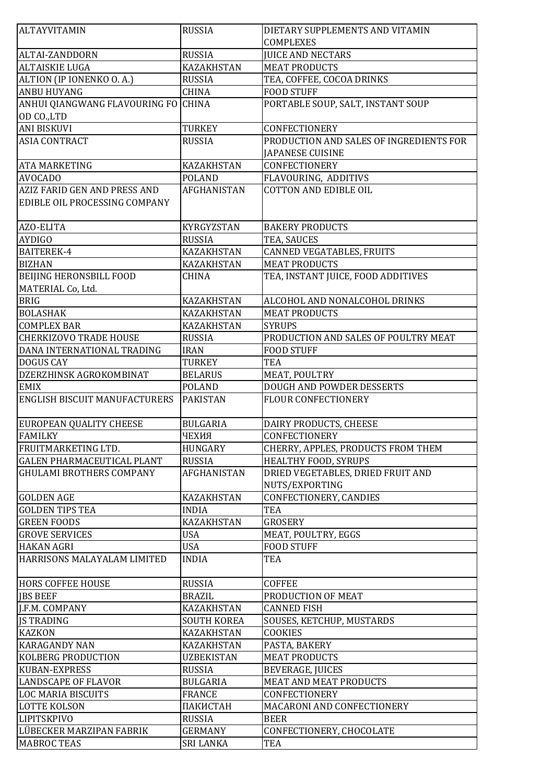| ALTAYVITAMIN                         | <b>RUSSIA</b>      | DIETARY SUPPLEMENTS AND VITAMIN         |
|--------------------------------------|--------------------|-----------------------------------------|
|                                      |                    | <b>COMPLEXES</b>                        |
| <b>ALTAI-ZANDDORN</b>                | <b>RUSSIA</b>      | <b>JUICE AND NECTARS</b>                |
| <b>ALTAISKIE LUGA</b>                | <b>KAZAKHSTAN</b>  | <b>MEAT PRODUCTS</b>                    |
| ALTION (IP IONENKO O. A.)            | <b>RUSSIA</b>      | TEA, COFFEE, COCOA DRINKS               |
| <b>ANBU HUYANG</b>                   | <b>CHINA</b>       | <b>FOOD STUFF</b>                       |
| ANHUI QIANGWANG FLAVOURING FO CHINA  |                    | PORTABLE SOUP, SALT, INSTANT SOUP       |
| OD CO.,LTD                           |                    |                                         |
| <b>ANI BISKUVI</b>                   | <b>TURKEY</b>      | CONFECTIONERY                           |
| <b>ASIA CONTRACT</b>                 | <b>RUSSIA</b>      | PRODUCTION AND SALES OF INGREDIENTS FOR |
|                                      |                    | <b>JAPANESE CUISINE</b>                 |
| <b>ATA MARKETING</b>                 | <b>KAZAKHSTAN</b>  | CONFECTIONERY                           |
| <b>AVOCADO</b>                       | <b>POLAND</b>      | FLAVOURING, ADDITIVS                    |
| <b>AZIZ FARID GEN AND PRESS AND</b>  | <b>AFGHANISTAN</b> | <b>COTTON AND EDIBLE OIL</b>            |
| EDIBLE OIL PROCESSING COMPANY        |                    |                                         |
|                                      |                    |                                         |
| AZO-ELITA                            | KYRGYZSTAN         | <b>BAKERY PRODUCTS</b>                  |
| <b>AYDIGO</b>                        | <b>RUSSIA</b>      | TEA, SAUCES                             |
| <b>BAITEREK-4</b>                    | <b>KAZAKHSTAN</b>  | CANNED VEGATABLES, FRUITS               |
| <b>BIZHAN</b>                        | <b>KAZAKHSTAN</b>  | <b>MEAT PRODUCTS</b>                    |
| <b>BEIJING HERONSBILL FOOD</b>       | <b>CHINA</b>       | TEA, INSTANT JUICE, FOOD ADDITIVES      |
| MATERIAL Co, Ltd.                    |                    |                                         |
| <b>BRIG</b>                          | <b>KAZAKHSTAN</b>  | ALCOHOL AND NONALCOHOL DRINKS           |
| <b>BOLASHAK</b>                      | <b>KAZAKHSTAN</b>  | <b>MEAT PRODUCTS</b>                    |
| <b>COMPLEX BAR</b>                   | <b>KAZAKHSTAN</b>  | <b>SYRUPS</b>                           |
| <b>CHERKIZOVO TRADE HOUSE</b>        | <b>RUSSIA</b>      | PRODUCTION AND SALES OF POULTRY MEAT    |
| DANA INTERNATIONAL TRADING           | <b>IRAN</b>        | <b>FOOD STUFF</b>                       |
| <b>DOGUS CAY</b>                     | <b>TURKEY</b>      | <b>TEA</b>                              |
| DZERZHINSK AGROKOMBINAT              | <b>BELARUS</b>     | MEAT, POULTRY                           |
| <b>EMIX</b>                          | <b>POLAND</b>      | DOUGH AND POWDER DESSERTS               |
| <b>ENGLISH BISCUIT MANUFACTURERS</b> | <b>PAKISTAN</b>    | <b>FLOUR CONFECTIONERY</b>              |
| <b>EUROPEAN QUALITY CHEESE</b>       | <b>BULGARIA</b>    | DAIRY PRODUCTS, CHEESE                  |
| <b>FAMILKY</b>                       | ЧЕХИЯ              | CONFECTIONERY                           |
| FRUITMARKETING LTD.                  | HUNGARY            | CHERRY, APPLES, PRODUCTS FROM THEM      |
| <b>GALEN PHARMACEUTICAL PLANT</b>    | <b>RUSSIA</b>      | HEALTHY FOOD, SYRUPS                    |
| <b>GHULAMI BROTHERS COMPANY</b>      | AFGHANISTAN        | DRIED VEGETABLES, DRIED FRUIT AND       |
|                                      |                    | NUTS/EXPORTING                          |
| <b>GOLDEN AGE</b>                    | <b>KAZAKHSTAN</b>  | CONFECTIONERY, CANDIES                  |
| <b>GOLDEN TIPS TEA</b>               | <b>INDIA</b>       | <b>TEA</b>                              |
| <b>GREEN FOODS</b>                   | <b>KAZAKHSTAN</b>  | <b>GROSERY</b>                          |
| <b>GROVE SERVICES</b>                | <b>USA</b>         | MEAT, POULTRY, EGGS                     |
| <b>HAKAN AGRI</b>                    | <b>USA</b>         | <b>FOOD STUFF</b>                       |
| HARRISONS MALAYALAM LIMITED          | <b>INDIA</b>       | <b>TEA</b>                              |
| <b>HORS COFFEE HOUSE</b>             | <b>RUSSIA</b>      | <b>COFFEE</b>                           |
| <b>JBS BEEF</b>                      | <b>BRAZIL</b>      | PRODUCTION OF MEAT                      |
| J.F.M. COMPANY                       | KAZAKHSTAN         | <b>CANNED FISH</b>                      |
| <b>JS TRADING</b>                    | <b>SOUTH KOREA</b> | SOUSES, KETCHUP, MUSTARDS               |
| <b>KAZKON</b>                        | <b>KAZAKHSTAN</b>  | <b>COOKIES</b>                          |
| <b>KARAGANDY NAN</b>                 | <b>KAZAKHSTAN</b>  | PASTA, BAKERY                           |
| <b>KOLBERG PRODUCTION</b>            | <b>UZBEKISTAN</b>  | <b>MEAT PRODUCTS</b>                    |
| <b>KUBAN-EXPRESS</b>                 | <b>RUSSIA</b>      | <b>BEVERAGE, JUICES</b>                 |
| <b>LANDSCAPE OF FLAVOR</b>           | <b>BULGARIA</b>    | <b>MEAT AND MEAT PRODUCTS</b>           |
| <b>LOC MARIA BISCUITS</b>            | <b>FRANCE</b>      | CONFECTIONERY                           |
| <b>LOTTE KOLSON</b>                  | ПАКИСТАН           | MACARONI AND CONFECTIONERY              |
| <b>LIPITSKPIVO</b>                   | <b>RUSSIA</b>      | <b>BEER</b>                             |
| LÜBECKER MARZIPAN FABRIK             | <b>GERMANY</b>     | CONFECTIONERY, CHOCOLATE                |
| <b>MABROC TEAS</b>                   | <b>SRI LANKA</b>   | TEA                                     |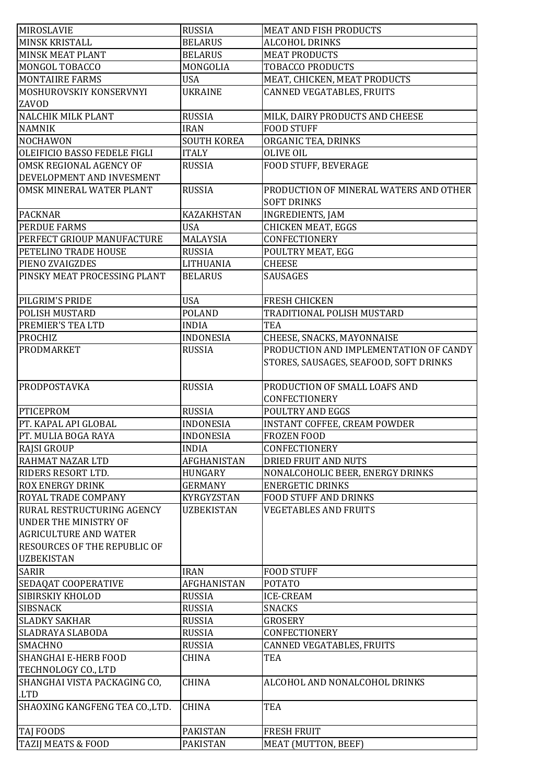| MIROSLAVIE                          | <b>RUSSIA</b>      | <b>MEAT AND FISH PRODUCTS</b>          |
|-------------------------------------|--------------------|----------------------------------------|
| <b>MINSK KRISTALL</b>               | <b>BELARUS</b>     | <b>ALCOHOL DRINKS</b>                  |
| <b>MINSK MEAT PLANT</b>             | <b>BELARUS</b>     | <b>MEAT PRODUCTS</b>                   |
| MONGOL TOBACCO                      | MONGOLIA           | TOBACCO PRODUCTS                       |
| <b>MONTAIIRE FARMS</b>              | <b>USA</b>         | MEAT, CHICKEN, MEAT PRODUCTS           |
| MOSHUROVSKIY KONSERVNYI             | <b>UKRAINE</b>     | CANNED VEGATABLES, FRUITS              |
| ZAVOD                               |                    |                                        |
| <b>NALCHIK MILK PLANT</b>           | <b>RUSSIA</b>      | MILK, DAIRY PRODUCTS AND CHEESE        |
| <b>NAMNIK</b>                       | <b>IRAN</b>        | <b>FOOD STUFF</b>                      |
| <b>NOCHAWON</b>                     | <b>SOUTH KOREA</b> | ORGANIC TEA, DRINKS                    |
| OLEIFICIO BASSO FEDELE FIGLI        | <b>ITALY</b>       | <b>OLIVE OIL</b>                       |
| OMSK REGIONAL AGENCY OF             | <b>RUSSIA</b>      | FOOD STUFF, BEVERAGE                   |
| DEVELOPMENT AND INVESMENT           |                    |                                        |
|                                     |                    |                                        |
| OMSK MINERAL WATER PLANT            | <b>RUSSIA</b>      | PRODUCTION OF MINERAL WATERS AND OTHER |
|                                     |                    | <b>SOFT DRINKS</b>                     |
| <b>PACKNAR</b>                      | <b>KAZAKHSTAN</b>  | <b>INGREDIENTS, JAM</b>                |
| <b>PERDUE FARMS</b>                 | <b>USA</b>         | <b>CHICKEN MEAT, EGGS</b>              |
| PERFECT GRIOUP MANUFACTURE          | MALAYSIA           | CONFECTIONERY                          |
| PETELINO TRADE HOUSE                | <b>RUSSIA</b>      | POULTRY MEAT, EGG                      |
| PIENO ZVAIGZDES                     | LITHUANIA          | <b>CHEESE</b>                          |
| PINSKY MEAT PROCESSING PLANT        | <b>BELARUS</b>     | SAUSAGES                               |
|                                     |                    |                                        |
| PILGRIM'S PRIDE                     | <b>USA</b>         | <b>FRESH CHICKEN</b>                   |
| <b>POLISH MUSTARD</b>               | <b>POLAND</b>      | TRADITIONAL POLISH MUSTARD             |
| PREMIER'S TEA LTD                   | <b>INDIA</b>       | <b>TEA</b>                             |
| <b>PROCHIZ</b>                      | <b>INDONESIA</b>   | CHEESE, SNACKS, MAYONNAISE             |
| <b>PRODMARKET</b>                   | <b>RUSSIA</b>      | PRODUCTION AND IMPLEMENTATION OF CANDY |
|                                     |                    | STORES, SAUSAGES, SEAFOOD, SOFT DRINKS |
|                                     |                    |                                        |
| PRODPOSTAVKA                        | <b>RUSSIA</b>      | PRODUCTION OF SMALL LOAFS AND          |
|                                     |                    | CONFECTIONERY                          |
| <b>PTICEPROM</b>                    | <b>RUSSIA</b>      | <b>POULTRY AND EGGS</b>                |
| PT. KAPAL API GLOBAL                | <b>INDONESIA</b>   | <b>INSTANT COFFEE, CREAM POWDER</b>    |
| PT. MULIA BOGA RAYA                 | <b>INDONESIA</b>   | <b>FROZEN FOOD</b>                     |
| <b>RAJSI GROUP</b>                  | <b>INDIA</b>       | CONFECTIONERY                          |
| RAHMAT NAZAR LTD                    | AFGHANISTAN        | <b>DRIED FRUIT AND NUTS</b>            |
| <b>RIDERS RESORT LTD.</b>           | <b>HUNGARY</b>     | NONALCOHOLIC BEER, ENERGY DRINKS       |
| <b>ROX ENERGY DRINK</b>             | <b>GERMANY</b>     | <b>ENERGETIC DRINKS</b>                |
| ROYAL TRADE COMPANY                 | KYRGYZSTAN         | <b>FOOD STUFF AND DRINKS</b>           |
| RURAL RESTRUCTURING AGENCY          | <b>UZBEKISTAN</b>  | <b>VEGETABLES AND FRUITS</b>           |
| <b>UNDER THE MINISTRY OF</b>        |                    |                                        |
| <b>AGRICULTURE AND WATER</b>        |                    |                                        |
| <b>RESOURCES OF THE REPUBLIC OF</b> |                    |                                        |
| <b>UZBEKISTAN</b>                   |                    |                                        |
| <b>SARIR</b>                        | <b>IRAN</b>        | <b>FOOD STUFF</b>                      |
| SEDAQAT COOPERATIVE                 | AFGHANISTAN        | <b>POTATO</b>                          |
| <b>SIBIRSKIY KHOLOD</b>             | <b>RUSSIA</b>      | <b>ICE-CREAM</b>                       |
| <b>SIBSNACK</b>                     | <b>RUSSIA</b>      | <b>SNACKS</b>                          |
| <b>SLADKY SAKHAR</b>                | <b>RUSSIA</b>      | <b>GROSERY</b>                         |
| SLADRAYA SLABODA                    | <b>RUSSIA</b>      | CONFECTIONERY                          |
| <b>SMACHNO</b>                      | <b>RUSSIA</b>      | CANNED VEGATABLES, FRUITS              |
| <b>SHANGHAI E-HERB FOOD</b>         | <b>CHINA</b>       | TEA                                    |
|                                     |                    |                                        |
| TECHNOLOGY CO., LTD                 |                    |                                        |
| SHANGHAI VISTA PACKAGING CO,        | <b>CHINA</b>       | ALCOHOL AND NONALCOHOL DRINKS          |
| <b>LTD</b>                          |                    |                                        |
| SHAOXING KANGFENG TEA CO., LTD.     | <b>CHINA</b>       | TEA                                    |
|                                     |                    |                                        |
| <b>TAJ FOODS</b>                    | <b>PAKISTAN</b>    | <b>FRESH FRUIT</b>                     |
| TAZIJ MEATS & FOOD                  | <b>PAKISTAN</b>    | MEAT (MUTTON, BEEF)                    |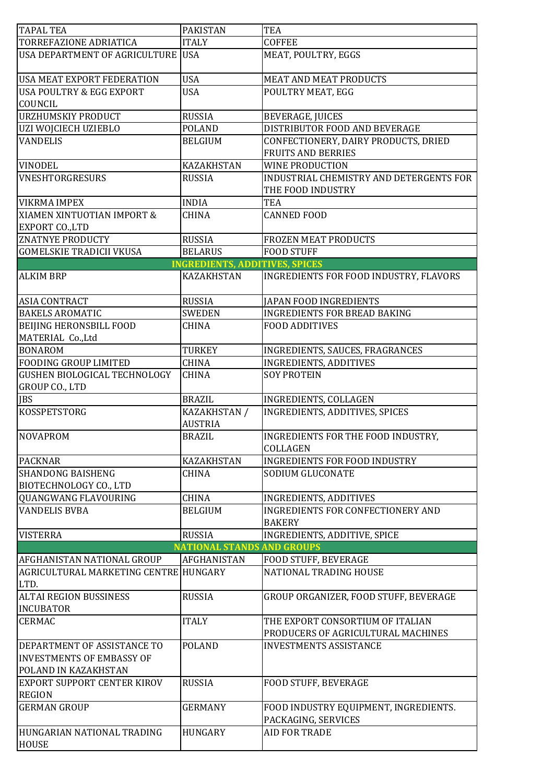| <b>TAPAL TEA</b>                                                       | <b>PAKISTAN</b>                       | <b>TEA</b>                                                             |
|------------------------------------------------------------------------|---------------------------------------|------------------------------------------------------------------------|
| TORREFAZIONE ADRIATICA                                                 | <b>ITALY</b>                          | <b>COFFEE</b>                                                          |
| USA DEPARTMENT OF AGRICULTURE USA                                      |                                       | MEAT, POULTRY, EGGS                                                    |
| <b>USA MEAT EXPORT FEDERATION</b>                                      | <b>USA</b>                            | <b>MEAT AND MEAT PRODUCTS</b>                                          |
| <b>USA POULTRY &amp; EGG EXPORT</b>                                    | <b>USA</b>                            | POULTRY MEAT, EGG                                                      |
| COUNCIL                                                                |                                       |                                                                        |
| <b>URZHUMSKIY PRODUCT</b>                                              | <b>RUSSIA</b>                         | <b>BEVERAGE, JUICES</b>                                                |
| UZI WOJCIECH UZIEBLO                                                   | <b>POLAND</b>                         | DISTRIBUTOR FOOD AND BEVERAGE                                          |
| <b>VANDELIS</b>                                                        | <b>BELGIUM</b>                        | CONFECTIONERY, DAIRY PRODUCTS, DRIED                                   |
|                                                                        |                                       | <b>FRUITS AND BERRIES</b>                                              |
| <b>VINODEL</b>                                                         | <b>KAZAKHSTAN</b>                     | <b>WINE PRODUCTION</b>                                                 |
| <b>VNESHTORGRESURS</b>                                                 | <b>RUSSIA</b>                         | INDUSTRIAL CHEMISTRY AND DETERGENTS FOR<br>THE FOOD INDUSTRY           |
| <b>VIKRMA IMPEX</b>                                                    | <b>INDIA</b>                          | <b>TEA</b>                                                             |
| XIAMEN XINTUOTIAN IMPORT &<br><b>EXPORT CO., LTD</b>                   | <b>CHINA</b>                          | <b>CANNED FOOD</b>                                                     |
| <b>ZNATNYE PRODUCTY</b>                                                | <b>RUSSIA</b>                         | <b>FROZEN MEAT PRODUCTS</b>                                            |
| <b>GOMELSKIE TRADICII VKUSA</b>                                        | <b>BELARUS</b>                        | <b>FOOD STUFF</b>                                                      |
|                                                                        | <b>INGREDIENTS, ADDITIVES, SPICES</b> |                                                                        |
| <b>ALKIM BRP</b>                                                       | <b>KAZAKHSTAN</b>                     | INGREDIENTS FOR FOOD INDUSTRY, FLAVORS                                 |
| <b>ASIA CONTRACT</b>                                                   | <b>RUSSIA</b>                         | <b>JAPAN FOOD INGREDIENTS</b>                                          |
| <b>BAKELS AROMATIC</b>                                                 | <b>SWEDEN</b>                         | <b>INGREDIENTS FOR BREAD BAKING</b>                                    |
| <b>BEIJING HERONSBILL FOOD</b>                                         | <b>CHINA</b>                          | <b>FOOD ADDITIVES</b>                                                  |
| MATERIAL Co., Ltd                                                      |                                       |                                                                        |
| <b>BONAROM</b>                                                         | <b>TURKEY</b>                         | INGREDIENTS, SAUCES, FRAGRANCES                                        |
| <b>FOODING GROUP LIMITED</b>                                           | <b>CHINA</b>                          | <b>INGREDIENTS, ADDITIVES</b>                                          |
| GUSHEN BIOLOGICAL TECHNOLOGY<br>GROUP CO., LTD                         | <b>CHINA</b>                          | <b>SOY PROTEIN</b>                                                     |
| <b>JBS</b>                                                             | <b>BRAZIL</b>                         | <b>INGREDIENTS, COLLAGEN</b>                                           |
| <b>KOSSPETSTORG</b>                                                    | KAZAKHSTAN /                          | <b>INGREDIENTS, ADDITIVES, SPICES</b>                                  |
|                                                                        | <b>AUSTRIA</b>                        |                                                                        |
| <b>NOVAPROM</b>                                                        | <b>BRAZIL</b>                         | INGREDIENTS FOR THE FOOD INDUSTRY.<br>COLLAGEN                         |
| <b>PACKNAR</b>                                                         | <b>KAZAKHSTAN</b>                     | <b>INGREDIENTS FOR FOOD INDUSTRY</b>                                   |
| <b>SHANDONG BAISHENG</b><br>BIOTECHNOLOGY CO., LTD                     | <b>CHINA</b>                          | SODIUM GLUCONATE                                                       |
| QUANGWANG FLAVOURING                                                   | <b>CHINA</b>                          | <b>INGREDIENTS, ADDITIVES</b>                                          |
| <b>VANDELIS BVBA</b>                                                   | <b>BELGIUM</b>                        | <b>INGREDIENTS FOR CONFECTIONERY AND</b>                               |
|                                                                        |                                       | <b>BAKERY</b>                                                          |
| <b>VISTERRA</b>                                                        | <b>RUSSIA</b>                         | INGREDIENTS, ADDITIVE, SPICE                                           |
|                                                                        | <b>NATIONAL STANDS AND GROUPS</b>     |                                                                        |
| <b>AFGHANISTAN NATIONAL GROUP</b>                                      | AFGHANISTAN                           | <b>FOOD STUFF, BEVERAGE</b>                                            |
| AGRICULTURAL MARKETING CENTRE HUNGARY<br>LTD.                          |                                       | NATIONAL TRADING HOUSE                                                 |
| <b>ALTAI REGION BUSSINESS</b>                                          | <b>RUSSIA</b>                         | GROUP ORGANIZER, FOOD STUFF, BEVERAGE                                  |
| <b>INCUBATOR</b>                                                       |                                       |                                                                        |
| <b>CERMAC</b>                                                          | <b>ITALY</b>                          | THE EXPORT CONSORTIUM OF ITALIAN<br>PRODUCERS OF AGRICULTURAL MACHINES |
| <b>DEPARTMENT OF ASSISTANCE TO</b><br><b>INVESTMENTS OF EMBASSY OF</b> | <b>POLAND</b>                         | <b>INVESTMENTS ASSISTANCE</b>                                          |
| POLAND IN KAZAKHSTAN                                                   |                                       |                                                                        |
| <b>EXPORT SUPPORT CENTER KIROV</b><br><b>REGION</b>                    | <b>RUSSIA</b>                         | FOOD STUFF, BEVERAGE                                                   |
| <b>GERMAN GROUP</b>                                                    | <b>GERMANY</b>                        | FOOD INDUSTRY EQUIPMENT, INGREDIENTS.<br>PACKAGING, SERVICES           |
| HUNGARIAN NATIONAL TRADING<br><b>HOUSE</b>                             | <b>HUNGARY</b>                        | <b>AID FOR TRADE</b>                                                   |